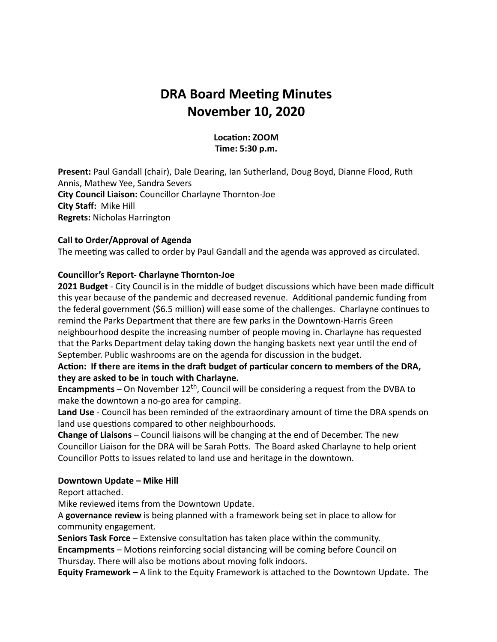# **DRA Board Meeting Minutes November 10, 2020**

#### Location: **ZOOM Time: 5:30 p.m.**

**Present:** Paul Gandall (chair), Dale Dearing, Ian Sutherland, Doug Boyd, Dianne Flood, Ruth Annis, Mathew Yee, Sandra Severs **City Council Liaison:** Councillor Charlayne Thornton-Joe **City Staff:** Mike Hill **Regrets:** Nicholas Harrington

#### **Call to Order/Approval of Agenda**

The meeting was called to order by Paul Gandall and the agenda was approved as circulated.

#### **Councillor's Report- Charlayne Thornton-Joe**

**2021 Budget** - City Council is in the middle of budget discussions which have been made difficult this year because of the pandemic and decreased revenue. Additional pandemic funding from the federal government (\$6.5 million) will ease some of the challenges. Charlayne continues to remind the Parks Department that there are few parks in the Downtown-Harris Green neighbourhood despite the increasing number of people moving in. Charlayne has requested that the Parks Department delay taking down the hanging baskets next year until the end of September. Public washrooms are on the agenda for discussion in the budget.

#### Action: If there are items in the draft budget of particular concern to members of the DRA, **they are asked to be in touch with Charlayne.**

**Encampments** – On November  $12<sup>th</sup>$ , Council will be considering a request from the DVBA to make the downtown a no-go area for camping.

Land Use - Council has been reminded of the extraordinary amount of time the DRA spends on land use questions compared to other neighbourhoods.

**Change of Liaisons** – Council liaisons will be changing at the end of December. The new Councillor Liaison for the DRA will be Sarah Potts. The Board asked Charlayne to help orient Councillor Potts to issues related to land use and heritage in the downtown.

#### **Downtown Update – Mike Hill**

Report attached.

Mike reviewed items from the Downtown Update.

A **governance review** is being planned with a framework being set in place to allow for community engagement.

**Seniors Task Force** – Extensive consultation has taken place within the community.

**Encampments** – Motions reinforcing social distancing will be coming before Council on Thursday. There will also be motions about moving folk indoors.

**Equity Framework** – A link to the Equity Framework is attached to the Downtown Update. The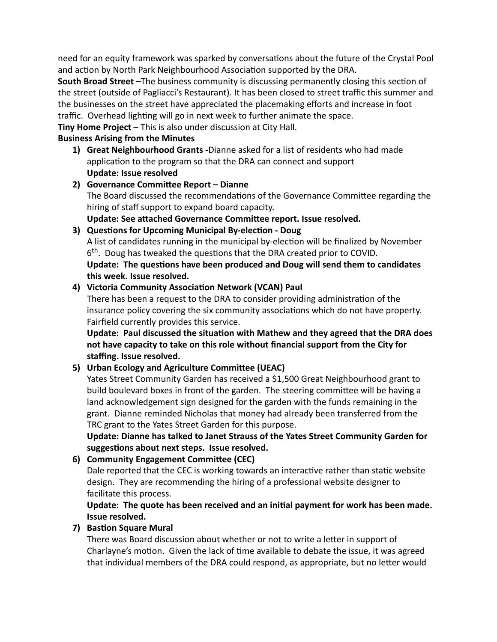need for an equity framework was sparked by conversations about the future of the Crystal Pool and action by North Park Neighbourhood Association supported by the DRA.

**South Broad Street** –The business community is discussing permanently closing this section of the street (outside of Pagliacci's Restaurant). It has been closed to street traffic this summer and the businesses on the street have appreciated the placemaking efforts and increase in foot traffic. Overhead lighting will go in next week to further animate the space.

**Tiny Home Project** – This is also under discussion at City Hall.

## **Business Arising from the Minutes**

**Update: Issue resolved Great Neighbourhood Grants -**Dianne asked for a list of residents who had made **1)** application to the program so that the DRA can connect and support

# The Board discussed the recommendations of the Governance Committee regarding the hiring of staff support to expand board capacity. Update: See attached Governance Committee report. Issue resolved. **2)** Governance Committee Report – Dianne

### A list of candidates running in the municipal by-election will be finalized by November  $6<sup>th</sup>$ . Doug has tweaked the questions that the DRA created prior to COVID. Update: The questions have been produced and Doug will send them to candidates **this week. Issue resolved. 3)** Questions for Upcoming Municipal By-election - Doug

# 4) Victoria Community Association Network (VCAN) Paul

There has been a request to the DRA to consider providing administration of the insurance policy covering the six community associations which do not have property. Fairfield currently provides this service.

**Update: Paul discussed the situation with Mathew and they agreed that the DRA does not have capacity to take on this role without financial support from the City for staffing. Issue resolved.**

# **5)** Urban Ecology and Agriculture Committee (UEAC)

Yates Street Community Garden has received a \$1,500 Great Neighbourhood grant to build boulevard boxes in front of the garden. The steering committee will be having a land acknowledgement sign designed for the garden with the funds remaining in the grant. Dianne reminded Nicholas that money had already been transferred from the TRC grant to the Yates Street Garden for this purpose.

**Update: Dianne has talked to Janet Strauss of the Yates Street Community Garden for** suggestions about next steps. Issue resolved.

# **6)** Community Engagement Committee (CEC)

Dale reported that the CEC is working towards an interactive rather than static website design. They are recommending the hiring of a professional website designer to facilitate this process.

# Update: The quote has been received and an initial payment for work has been made. **Issue resolved.**

# **7)** Bastion Square Mural

There was Board discussion about whether or not to write a letter in support of Charlayne's motion. Given the lack of time available to debate the issue, it was agreed that individual members of the DRA could respond, as appropriate, but no letter would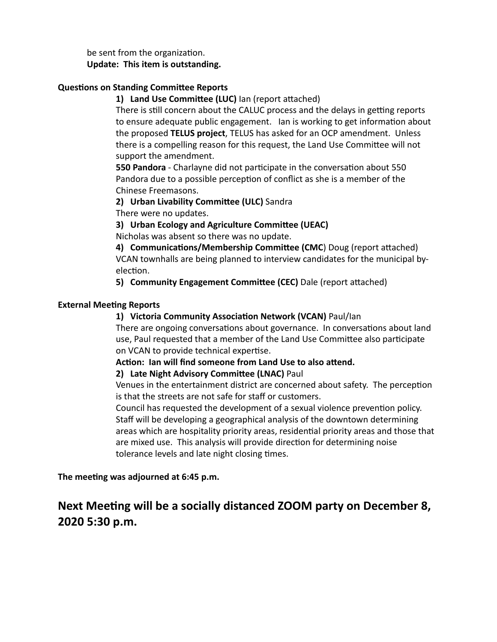be sent from the organization. **Update: This item is outstanding.**

### **Questions on Standing Committee Reports**

1) Land Use Committee (LUC) Ian (report attached)

There is still concern about the CALUC process and the delays in getting reports to ensure adequate public engagement. Ian is working to get information about the proposed **TELUS project**, TELUS has asked for an OCP amendment. Unless there is a compelling reason for this request, the Land Use Committee will not support the amendment.

**550 Pandora** - Charlayne did not participate in the conversation about 550 Pandora due to a possible perception of conflict as she is a member of the Chinese Freemasons.

2) Urban Livability Committee (ULC) Sandra

There were no updates.

## **3)** Urban Ecology and Agriculture Committee (UEAC)

Nicholas was absent so there was no update.

VCAN townhalls are being planned to interview candidates for the municipal byelection. 4) **Communications/Membership Committee (CMC**) Doug (report attached)

**5) Community Engagement Committee (CEC)** Dale (report attached)

#### **External Meeting Reports**

## 1) Victoria Community Association Network (VCAN) Paul/Ian

There are ongoing conversations about governance. In conversations about land use, Paul requested that a member of the Land Use Committee also participate on VCAN to provide technical expertise.

Action: Ian will find someone from Land Use to also attend.

#### 2) Late Night Advisory Committee (LNAC) Paul

Venues in the entertainment district are concerned about safety. The perception is that the streets are not safe for staff or customers.

Council has requested the development of a sexual violence prevention policy. Staff will be developing a geographical analysis of the downtown determining areas which are hospitality priority areas, residential priority areas and those that are mixed use. This analysis will provide direction for determining noise tolerance levels and late night closing times.

The meeting was adjourned at 6:45 p.m.

# **Next Meeting will be a socially distanced ZOOM party on December 8, 2020 5:30 p.m.**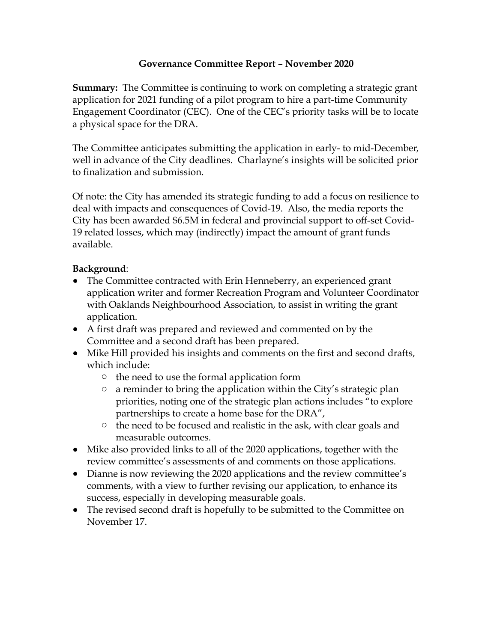# **Governance Committee Report – November 2020**

**Summary:** The Committee is continuing to work on completing a strategic grant application for 2021 funding of a pilot program to hire a part-time Community Engagement Coordinator (CEC). One of the CEC's priority tasks will be to locate a physical space for the DRA.

The Committee anticipates submitting the application in early- to mid-December, well in advance of the City deadlines. Charlayne's insights will be solicited prior to finalization and submission.

Of note: the City has amended its strategic funding to add a focus on resilience to deal with impacts and consequences of Covid-19. Also, the media reports the City has been awarded \$6.5M in federal and provincial support to off-set Covid-19 related losses, which may (indirectly) impact the amount of grant funds available.

# **Background**:

- The Committee contracted with Erin Henneberry, an experienced grant application writer and former Recreation Program and Volunteer Coordinator with Oaklands Neighbourhood Association, to assist in writing the grant application.
- A first draft was prepared and reviewed and commented on by the Committee and a second draft has been prepared.
- Mike Hill provided his insights and comments on the first and second drafts, which include:
	- o the need to use the formal application form
	- $\circ$  a reminder to bring the application within the City's strategic plan priorities, noting one of the strategic plan actions includes "to explore partnerships to create a home base for the DRA",
	- <sup>o</sup> the need to be focused and realistic in the ask, with clear goals and measurable outcomes.
- Mike also provided links to all of the 2020 applications, together with the review committee's assessments of and comments on those applications.
- Dianne is now reviewing the 2020 applications and the review committee's comments, with a view to further revising our application, to enhance its success, especially in developing measurable goals.
- The revised second draft is hopefully to be submitted to the Committee on November 17.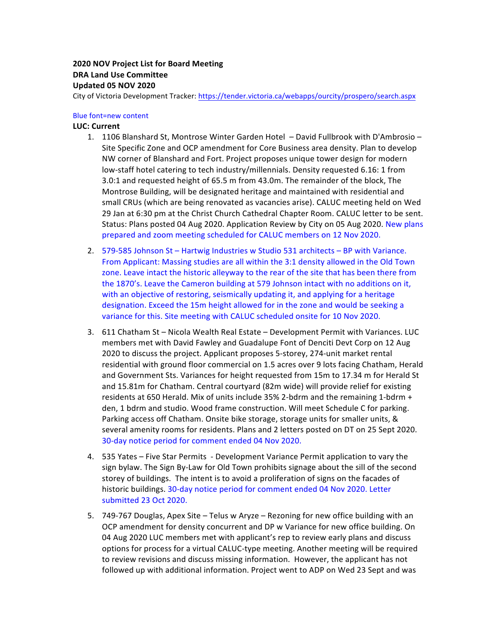# **2020 NOV Project List for Board Meeting DRA Land Use Committee Updated 05 NOV 2020**

City of Victoria Development Tracker: https://tender.victoria.ca/webapps/ourcity/prospero/search.aspx

#### Blue font=new content

#### **LUC: Current**

- 1. 1106 Blanshard St, Montrose Winter Garden Hotel David Fullbrook with D'Ambrosio -Site Specific Zone and OCP amendment for Core Business area density. Plan to develop NW corner of Blanshard and Fort. Project proposes unique tower design for modern low-staff hotel catering to tech industry/millennials. Density requested 6.16: 1 from 3.0:1 and requested height of 65.5 m from 43.0m. The remainder of the block, The Montrose Building, will be designated heritage and maintained with residential and small CRUs (which are being renovated as vacancies arise). CALUC meeting held on Wed 29 Jan at 6:30 pm at the Christ Church Cathedral Chapter Room. CALUC letter to be sent. Status: Plans posted 04 Aug 2020. Application Review by City on 05 Aug 2020. New plans prepared and zoom meeting scheduled for CALUC members on 12 Nov 2020.
- 2. 579-585 Johnson St Hartwig Industries w Studio 531 architects BP with Variance. From Applicant: Massing studies are all within the 3:1 density allowed in the Old Town zone. Leave intact the historic alleyway to the rear of the site that has been there from the 1870's. Leave the Cameron building at 579 Johnson intact with no additions on it, with an objective of restoring, seismically updating it, and applying for a heritage designation. Exceed the 15m height allowed for in the zone and would be seeking a variance for this. Site meeting with CALUC scheduled onsite for 10 Nov 2020.
- 3. 611 Chatham St Nicola Wealth Real Estate Development Permit with Variances. LUC members met with David Fawley and Guadalupe Font of Denciti Devt Corp on 12 Aug 2020 to discuss the project. Applicant proposes 5-storey, 274-unit market rental residential with ground floor commercial on 1.5 acres over 9 lots facing Chatham, Herald and Government Sts. Variances for height requested from 15m to 17.34 m for Herald St and 15.81m for Chatham. Central courtyard (82m wide) will provide relief for existing residents at 650 Herald. Mix of units include 35% 2-bdrm and the remaining 1-bdrm + den, 1 bdrm and studio. Wood frame construction. Will meet Schedule C for parking. Parking access off Chatham. Onsite bike storage, storage units for smaller units, & several amenity rooms for residents. Plans and 2 letters posted on DT on 25 Sept 2020. 30-day notice period for comment ended 04 Nov 2020.
- 4. 535 Yates Five Star Permits Development Variance Permit application to vary the sign bylaw. The Sign By-Law for Old Town prohibits signage about the sill of the second storey of buildings. The intent is to avoid a proliferation of signs on the facades of historic buildings. 30-day notice period for comment ended 04 Nov 2020. Letter submitted 23 Oct 2020.
- 5. 749-767 Douglas, Apex Site Telus w Aryze Rezoning for new office building with an OCP amendment for density concurrent and DP w Variance for new office building. On 04 Aug 2020 LUC members met with applicant's rep to review early plans and discuss options for process for a virtual CALUC-type meeting. Another meeting will be required to review revisions and discuss missing information. However, the applicant has not followed up with additional information. Project went to ADP on Wed 23 Sept and was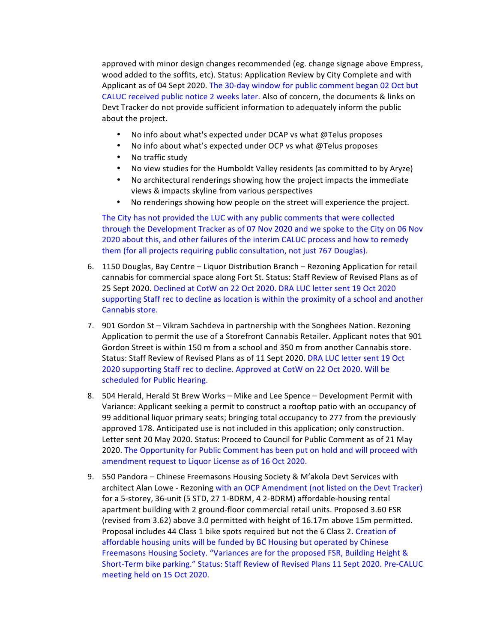approved with minor design changes recommended (eg. change signage above Empress, wood added to the soffits, etc). Status: Application Review by City Complete and with Applicant as of 04 Sept 2020. The 30-day window for public comment began 02 Oct but CALUC received public notice 2 weeks later. Also of concern, the documents & links on Devt Tracker do not provide sufficient information to adequately inform the public about the project.

- No info about what's expected under DCAP vs what  $@$ Telus proposes
- No info about what's expected under OCP vs what  $@$ Telus proposes
- No traffic study
- No view studies for the Humboldt Valley residents (as committed to by Aryze)
- No architectural renderings showing how the project impacts the immediate views & impacts skyline from various perspectives
- No renderings showing how people on the street will experience the project.

The City has not provided the LUC with any public comments that were collected through the Development Tracker as of 07 Nov 2020 and we spoke to the City on 06 Nov 2020 about this, and other failures of the interim CALUC process and how to remedy them (for all projects requiring public consultation, not just 767 Douglas).

- 6. 1150 Douglas, Bay Centre Liquor Distribution Branch Rezoning Application for retail cannabis for commercial space along Fort St. Status: Staff Review of Revised Plans as of 25 Sept 2020. Declined at CotW on 22 Oct 2020. DRA LUC letter sent 19 Oct 2020 supporting Staff rec to decline as location is within the proximity of a school and another Cannabis store.
- 7. 901 Gordon St Vikram Sachdeva in partnership with the Songhees Nation. Rezoning Application to permit the use of a Storefront Cannabis Retailer. Applicant notes that 901 Gordon Street is within 150 m from a school and 350 m from another Cannabis store. Status: Staff Review of Revised Plans as of 11 Sept 2020. DRA LUC letter sent 19 Oct 2020 supporting Staff rec to decline. Approved at CotW on 22 Oct 2020. Will be scheduled for Public Hearing.
- 8. 504 Herald, Herald St Brew Works Mike and Lee Spence Development Permit with Variance: Applicant seeking a permit to construct a rooftop patio with an occupancy of 99 additional liquor primary seats; bringing total occupancy to 277 from the previously approved 178. Anticipated use is not included in this application; only construction. Letter sent 20 May 2020. Status: Proceed to Council for Public Comment as of 21 May 2020. The Opportunity for Public Comment has been put on hold and will proceed with amendment request to Liquor License as of 16 Oct 2020.
- 9. 550 Pandora Chinese Freemasons Housing Society & M'akola Devt Services with architect Alan Lowe - Rezoning with an OCP Amendment (not listed on the Devt Tracker) for a 5-storey, 36-unit (5 STD, 27 1-BDRM, 4 2-BDRM) affordable-housing rental apartment building with 2 ground-floor commercial retail units. Proposed 3.60 FSR (revised from 3.62) above 3.0 permitted with height of 16.17m above 15m permitted. Proposal includes 44 Class 1 bike spots required but not the 6 Class 2. Creation of affordable housing units will be funded by BC Housing but operated by Chinese Freemasons Housing Society. "Variances are for the proposed FSR, Building Height & Short-Term bike parking." Status: Staff Review of Revised Plans 11 Sept 2020. Pre-CALUC meeting held on 15 Oct 2020.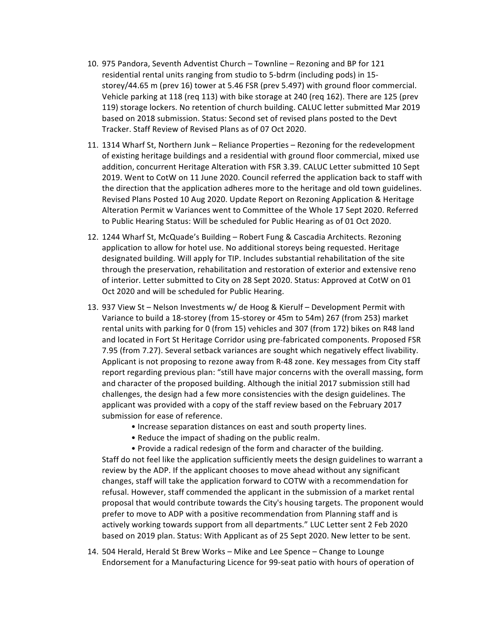- 10. 975 Pandora, Seventh Adventist Church Townline Rezoning and BP for 121 residential rental units ranging from studio to 5-bdrm (including pods) in 15storey/44.65 m (prev 16) tower at 5.46 FSR (prev 5.497) with ground floor commercial. Vehicle parking at 118 (req 113) with bike storage at 240 (req 162). There are 125 (prev 119) storage lockers. No retention of church building. CALUC letter submitted Mar 2019 based on 2018 submission. Status: Second set of revised plans posted to the Devt Tracker. Staff Review of Revised Plans as of 07 Oct 2020.
- 11. 1314 Wharf St, Northern Junk Reliance Properties Rezoning for the redevelopment of existing heritage buildings and a residential with ground floor commercial, mixed use addition, concurrent Heritage Alteration with FSR 3.39. CALUC Letter submitted 10 Sept 2019. Went to CotW on 11 June 2020. Council referred the application back to staff with the direction that the application adheres more to the heritage and old town guidelines. Revised Plans Posted 10 Aug 2020. Update Report on Rezoning Application & Heritage Alteration Permit w Variances went to Committee of the Whole 17 Sept 2020. Referred to Public Hearing Status: Will be scheduled for Public Hearing as of 01 Oct 2020.
- 12. 1244 Wharf St, McQuade's Building Robert Fung & Cascadia Architects. Rezoning application to allow for hotel use. No additional storeys being requested. Heritage designated building. Will apply for TIP. Includes substantial rehabilitation of the site through the preservation, rehabilitation and restoration of exterior and extensive reno of interior. Letter submitted to City on 28 Sept 2020. Status: Approved at CotW on 01 Oct 2020 and will be scheduled for Public Hearing.
- 13. 937 View St Nelson Investments w/ de Hoog & Kierulf Development Permit with Variance to build a 18-storey (from 15-storey or 45m to 54m) 267 (from 253) market rental units with parking for 0 (from 15) vehicles and 307 (from 172) bikes on R48 land and located in Fort St Heritage Corridor using pre-fabricated components. Proposed FSR 7.95 (from 7.27). Several setback variances are sought which negatively effect livability. Applicant is not proposing to rezone away from R-48 zone. Key messages from City staff report regarding previous plan: "still have major concerns with the overall massing, form and character of the proposed building. Although the initial 2017 submission still had challenges, the design had a few more consistencies with the design guidelines. The applicant was provided with a copy of the staff review based on the February 2017 submission for ease of reference.
	- Increase separation distances on east and south property lines.
	- Reduce the impact of shading on the public realm.

• Provide a radical redesign of the form and character of the building. Staff do not feel like the application sufficiently meets the design guidelines to warrant a review by the ADP. If the applicant chooses to move ahead without any significant changes, staff will take the application forward to COTW with a recommendation for refusal. However, staff commended the applicant in the submission of a market rental proposal that would contribute towards the City's housing targets. The proponent would prefer to move to ADP with a positive recommendation from Planning staff and is actively working towards support from all departments." LUC Letter sent 2 Feb 2020 based on 2019 plan. Status: With Applicant as of 25 Sept 2020. New letter to be sent.

14. 504 Herald, Herald St Brew Works – Mike and Lee Spence – Change to Lounge Endorsement for a Manufacturing Licence for 99-seat patio with hours of operation of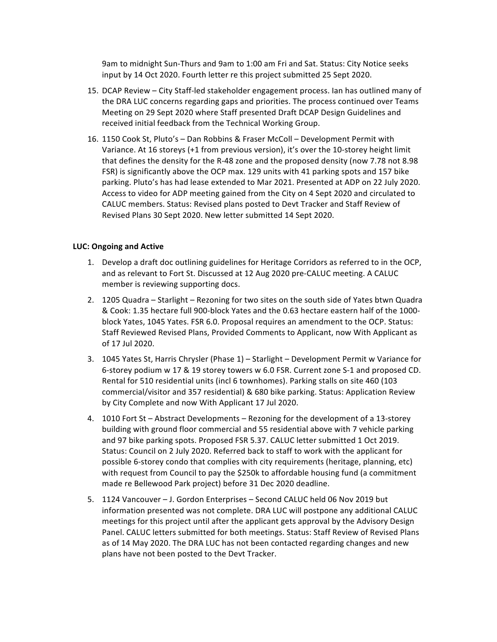9am to midnight Sun-Thurs and 9am to 1:00 am Fri and Sat. Status: City Notice seeks input by 14 Oct 2020. Fourth letter re this project submitted 25 Sept 2020.

- 15. DCAP Review City Staff-led stakeholder engagement process. Ian has outlined many of the DRA LUC concerns regarding gaps and priorities. The process continued over Teams Meeting on 29 Sept 2020 where Staff presented Draft DCAP Design Guidelines and received initial feedback from the Technical Working Group.
- 16. 1150 Cook St, Pluto's Dan Robbins & Fraser McColl Development Permit with Variance. At 16 storeys (+1 from previous version), it's over the 10-storey height limit that defines the density for the R-48 zone and the proposed density (now 7.78 not 8.98 FSR) is significantly above the OCP max. 129 units with 41 parking spots and 157 bike parking. Pluto's has had lease extended to Mar 2021. Presented at ADP on 22 July 2020. Access to video for ADP meeting gained from the City on 4 Sept 2020 and circulated to CALUC members. Status: Revised plans posted to Devt Tracker and Staff Review of Revised Plans 30 Sept 2020. New letter submitted 14 Sept 2020.

#### **LUC: Ongoing and Active**

- 1. Develop a draft doc outlining guidelines for Heritage Corridors as referred to in the OCP, and as relevant to Fort St. Discussed at 12 Aug 2020 pre-CALUC meeting. A CALUC member is reviewing supporting docs.
- 2. 1205 Quadra Starlight Rezoning for two sites on the south side of Yates btwn Quadra & Cook: 1.35 hectare full 900-block Yates and the 0.63 hectare eastern half of the 1000block Yates, 1045 Yates. FSR 6.0. Proposal requires an amendment to the OCP. Status: Staff Reviewed Revised Plans, Provided Comments to Applicant, now With Applicant as of 17 Jul 2020.
- 3. 1045 Yates St, Harris Chrysler (Phase 1) Starlight Development Permit w Variance for 6-storey podium w 17 & 19 storey towers w 6.0 FSR. Current zone S-1 and proposed CD. Rental for 510 residential units (incl 6 townhomes). Parking stalls on site 460 (103 commercial/visitor and 357 residential) & 680 bike parking. Status: Application Review by City Complete and now With Applicant 17 Jul 2020.
- 4. 1010 Fort St Abstract Developments Rezoning for the development of a 13-storey building with ground floor commercial and 55 residential above with 7 vehicle parking and 97 bike parking spots. Proposed FSR 5.37. CALUC letter submitted 1 Oct 2019. Status: Council on 2 July 2020. Referred back to staff to work with the applicant for possible 6-storey condo that complies with city requirements (heritage, planning, etc) with request from Council to pay the \$250k to affordable housing fund (a commitment made re Bellewood Park project) before 31 Dec 2020 deadline.
- 5. 1124 Vancouver J. Gordon Enterprises Second CALUC held 06 Nov 2019 but information presented was not complete. DRA LUC will postpone any additional CALUC meetings for this project until after the applicant gets approval by the Advisory Design Panel. CALUC letters submitted for both meetings. Status: Staff Review of Revised Plans as of 14 May 2020. The DRA LUC has not been contacted regarding changes and new plans have not been posted to the Devt Tracker.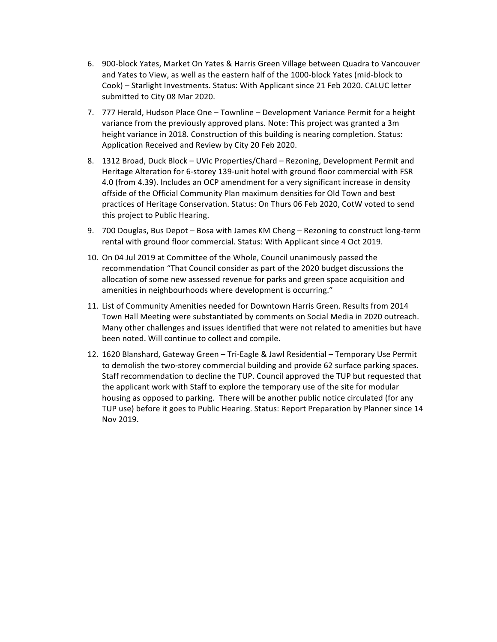- 6. 900-block Yates, Market On Yates & Harris Green Village between Quadra to Vancouver and Yates to View, as well as the eastern half of the 1000-block Yates (mid-block to Cook) – Starlight Investments. Status: With Applicant since 21 Feb 2020. CALUC letter submitted to City 08 Mar 2020.
- 7. 777 Herald, Hudson Place One Townline Development Variance Permit for a height variance from the previously approved plans. Note: This project was granted a 3m height variance in 2018. Construction of this building is nearing completion. Status: Application Received and Review by City 20 Feb 2020.
- 8. 1312 Broad, Duck Block UVic Properties/Chard Rezoning, Development Permit and Heritage Alteration for 6-storey 139-unit hotel with ground floor commercial with FSR 4.0 (from 4.39). Includes an OCP amendment for a very significant increase in density offside of the Official Community Plan maximum densities for Old Town and best practices of Heritage Conservation. Status: On Thurs 06 Feb 2020, CotW voted to send this project to Public Hearing.
- 9. 700 Douglas, Bus Depot Bosa with James KM Cheng Rezoning to construct long-term rental with ground floor commercial. Status: With Applicant since 4 Oct 2019.
- 10. On 04 Jul 2019 at Committee of the Whole, Council unanimously passed the recommendation "That Council consider as part of the 2020 budget discussions the allocation of some new assessed revenue for parks and green space acquisition and amenities in neighbourhoods where development is occurring."
- 11. List of Community Amenities needed for Downtown Harris Green. Results from 2014 Town Hall Meeting were substantiated by comments on Social Media in 2020 outreach. Many other challenges and issues identified that were not related to amenities but have been noted. Will continue to collect and compile.
- 12. 1620 Blanshard, Gateway Green Tri-Eagle & Jawl Residential Temporary Use Permit to demolish the two-storey commercial building and provide 62 surface parking spaces. Staff recommendation to decline the TUP. Council approved the TUP but requested that the applicant work with Staff to explore the temporary use of the site for modular housing as opposed to parking. There will be another public notice circulated (for any TUP use) before it goes to Public Hearing. Status: Report Preparation by Planner since 14 Nov 2019.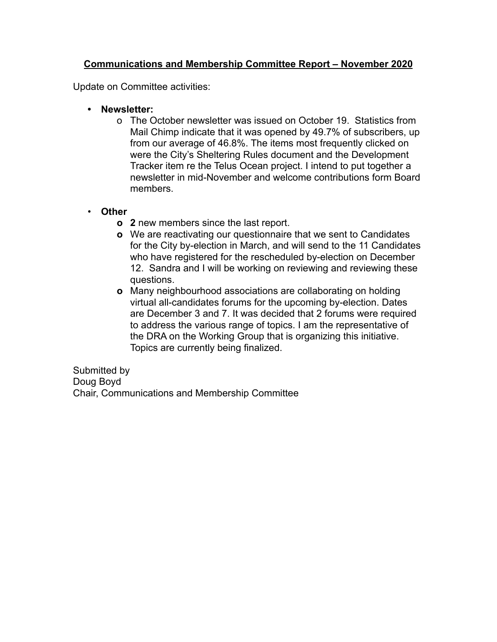# **Communications and Membership Committee Report – November 2020**

Update on Committee activities:

- **• Newsletter:** 
	- o The October newsletter was issued on October 19. Statistics from Mail Chimp indicate that it was opened by 49.7% of subscribers, up from our average of 46.8%. The items most frequently clicked on were the City's Sheltering Rules document and the Development Tracker item re the Telus Ocean project. I intend to put together a newsletter in mid-November and welcome contributions form Board members.

# • **Other**

- **o 2** new members since the last report.
- **o** We are reactivating our questionnaire that we sent to Candidates for the City by-election in March, and will send to the 11 Candidates who have registered for the rescheduled by-election on December 12. Sandra and I will be working on reviewing and reviewing these questions.
- **o** Many neighbourhood associations are collaborating on holding virtual all-candidates forums for the upcoming by-election. Dates are December 3 and 7. It was decided that 2 forums were required to address the various range of topics. I am the representative of the DRA on the Working Group that is organizing this initiative. Topics are currently being finalized.

Submitted by Doug Boyd Chair, Communications and Membership Committee